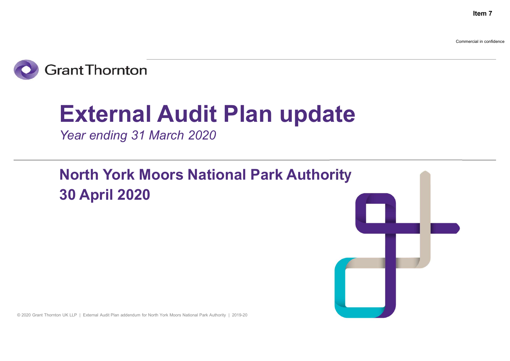**Item 7**

Commercial in confidence



# External Audit Plan update

Year ending 31 March 2020

North York Moors National Park Authority 30 April 2020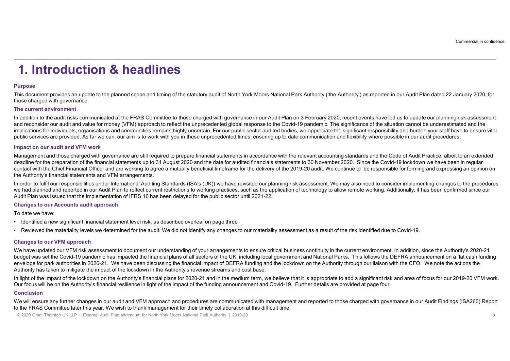## 1. Introduction & headlines

## Purpose

This document provides an update to the planned scope and timing of the statutory audit of North York Moors National Park Authority ('the Authority') as reported in our Audit Plan dated 22 January 2020, for those charged with governance.

**1. Introduction & headlines**<br>Purpose<br>This document provides an update to the planned scope and timing of the statutory audit of North<br>The current environment<br>In addition to the audit risks communicated at the FRAS Committ In addition to the audit risks communicated at the FRAS Committee to those charged with governance in our Audit Plan on 3 February 2020, recent events have led us to update our planning risk assessment and reconsider our audit and value for money (VFM) approach to reflect the unprecedented global response to the Covid-19 pandemic. The significance of the situation cannot be underestimated and the implications for individuals, organisations and communities remains highly uncertain. For our public sector audited bodies, we appreciate the significant responsibility and burden your staff have to ensure vital public services are provided. As far we can, our aim is to work with you in these unprecedented times, ensuring up to date communication and flexibility where possible in our audit procedures.

**1. Introduction & headline for the propartion of the financial statements and VFM and Venet and SCA's (UK)) we have revisited our panning in the correct furth of the statute of the second throw our audit and vene and vene** Management and those charged with governance are still required to prepare financial statements in accordance with the relevant accounting standards and the Code of Audit Practice, albeit to an extended deadline for the preparation of the financial statements up to 31 August 2020 and the date for audited financials statements to 30 November 2020. Since the Covid-19 lockdown we have been in regular contact with the Chief Financial Officer and are working to agree a mutually beneficial timeframe for the delivery of the 2019-20 audit. We continue to be responsible for forming and expressing an opinion on the Authority's financial statements and VFM arrangements. **1. Introduction & headlines**<br>Purpose<br>Purpose<br>This document provides an update to the planned scope and timing of the statutory audit of North York Moors National<br>The current environments<br>The current environments<br>in decons **1. Introduction & head Minds**<br>Purpose<br>Purpose<br>This document provides an update to the planned scope and timing of the statutory audit of North<br>those charged with governance.<br>The current environment<br>in dedition to the audi **1. Introduction & headlines**<br>Purpose<br>Purpose<br>This counterparticles an update to the planned scope and timing of the statulory audit of North York Moors National Park Authority (the Authority) as reported in our Audit Plan • Fix and the Chipman and the material the material the material types to unrelated the material of the automatic due to the material of the automatic material the material the material the material the material the materi Purpose<br>
This document provides an update to the planned scope and timing of the statutory audit of North York Moo<br>
This document provides an update to the planned scope and timing of the statutory audit of North York Moo<br> In addition to the audit mast is communicated at the FRAS Committee to those charged with governance in our Audit Plan on 3 February communicated at the FRAS Communicated probabilities the impaction of the context of the u implections for individuals, organisations and commutines remains highly uncertain. For our publis experiments in a resiliction of the Authority increases are provided. As two cas, we approximate the Supplementation of the

In order to fulfil our responsibilities under International Auditing Standards (ISA's (UK)) we have revisited our planning risk assessment. We may also need to consider implementing changes to the procedures we had planned and reported in our Audit Plan to reflect current restrictions to working practices, such as the application of technology to allow remote working. Additionally, it has been confirmed since our Audit Plan was issued that the implementation of IFRS 16 has been delayed for the public sector until 2021-22.

- 
- 

We have updated our VFM risk assessment to document our understanding of your arrangements to ensure critical business continuity in the current environment. In addition, since the Authority's 2020-21 those damptes was for the authority interest the financial plans of all sections and the financial plans of all sectors of the ENSI plans of all sectors of a set the control interest of all sectors of all sectors of the UK envelope for park authorities in 2020-21. We have been discussing the financial impact of DEFRA funding and the lockdown on the Authority through our liaison with the CFO. We note the actions the and recomplerate in encoding to the impact of the impact of the impact of the incrementation of the internet of the internet internet internet internet internet internet internet internet internet internet internet interne Impact on our audit and YFM work results and the equilibrical to the ensure any further communicated on the formula state of the formula state of the formula state of the formula state of the formula state of the formula s

## **Conclusion**

to the FRAS Committee later this year. We wish to thank management for their timely collaboration at this difficult time.

© 2020 Grant Thornton UK LLP | External Audit Plan addendum for North York Moors National Park Authority | 2019-20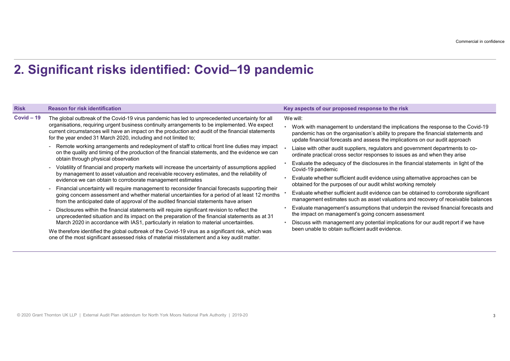## 2. Significant risks identified: Covid–19 pandemic

|              |                                                                                                                                                                                                                                                                                                                                                                                                                                                                                                                                                                                  | Commercial in confidence                                                                                                                                                                                                                                                                                                                                                                                                            |
|--------------|----------------------------------------------------------------------------------------------------------------------------------------------------------------------------------------------------------------------------------------------------------------------------------------------------------------------------------------------------------------------------------------------------------------------------------------------------------------------------------------------------------------------------------------------------------------------------------|-------------------------------------------------------------------------------------------------------------------------------------------------------------------------------------------------------------------------------------------------------------------------------------------------------------------------------------------------------------------------------------------------------------------------------------|
|              | 2. Significant risks identified: Covid-19 pandemic                                                                                                                                                                                                                                                                                                                                                                                                                                                                                                                               |                                                                                                                                                                                                                                                                                                                                                                                                                                     |
| <b>Risk</b>  | <b>Reason for risk identification</b>                                                                                                                                                                                                                                                                                                                                                                                                                                                                                                                                            | Key aspects of our proposed response to the risk                                                                                                                                                                                                                                                                                                                                                                                    |
| $Covid - 19$ | The global outbreak of the Covid-19 virus pandemic has led to unprecedented uncertainty for all<br>organisations, requiring urgent business continuity arrangements to be implemented. We expect<br>current circumstances will have an impact on the production and audit of the financial statements<br>for the year ended 31 March 2020, including and not limited to;<br>- Remote working arrangements and redeployment of staff to critical front line duties may impact<br>on the quality and timing of the production of the financial statements, and the evidence we can | We will:<br>Work with management to understand the implications the response to the Covid-19<br>pandemic has on the organisation's ability to prepare the financial statements and<br>update financial forecasts and assess the implications on our audit approach<br>Liaise with other audit suppliers, regulators and government departments to co-<br>ordinate practical cross sector responses to issues as and when they arise |
|              | obtain through physical observation<br>- Volatility of financial and property markets will increase the uncertainty of assumptions applied<br>by management to asset valuation and receivable recovery estimates, and the reliability of                                                                                                                                                                                                                                                                                                                                         | Evaluate the adequacy of the disclosures in the financial statements in light of the<br>Covid-19 pandemic<br>Evaluate whether sufficient audit evidence using alternative approaches can be                                                                                                                                                                                                                                         |
|              | evidence we can obtain to corroborate management estimates<br>- Financial uncertainty will require management to reconsider financial forecasts supporting their<br>going concern assessment and whether material uncertainties for a period of at least 12 months                                                                                                                                                                                                                                                                                                               | obtained for the purposes of our audit whilst working remotely<br>Evaluate whether sufficient audit evidence can be obtained to corroborate significant<br>management estimates such as asset valuations and recovery of receivable balances                                                                                                                                                                                        |